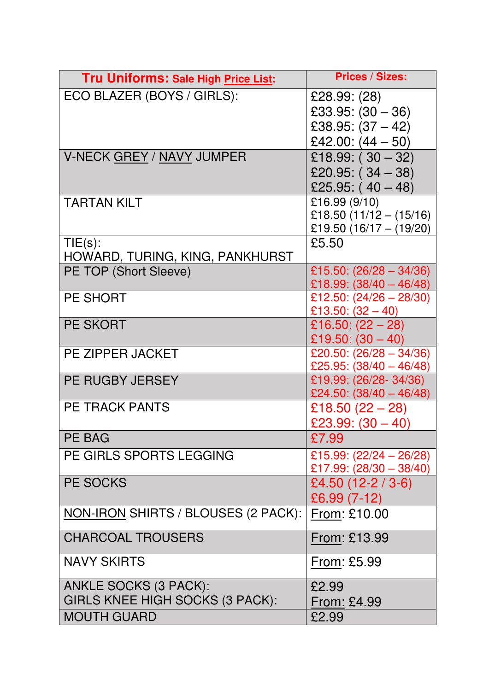| Tru Uniforms: Sale High Price List: | <b>Prices / Sizes:</b>                                                            |
|-------------------------------------|-----------------------------------------------------------------------------------|
| ECO BLAZER (BOYS / GIRLS):          | £28.99: (28)<br>£33.95: $(30 - 36)$<br>£38.95: $(37 – 42)$<br>£42.00: $(44 - 50)$ |
| V-NECK GREY / NAVY JUMPER           | £18.99: $(30 - 32)$                                                               |
|                                     |                                                                                   |
|                                     | £20.95: $(34 - 38)$<br>£25.95: $(40 - 48)$                                        |
| <b>TARTAN KILT</b>                  | £16.99 (9/10)                                                                     |
|                                     | £18.50 $(11/12 - (15/16))$                                                        |
|                                     | £19.50 (16/17 - (19/20)                                                           |
| $TIE(s)$ :                          | £5.50                                                                             |
| HOWARD, TURING, KING, PANKHURST     |                                                                                   |
| PE TOP (Short Sleeve)               | £15.50: $(26/28 - 34/36)$                                                         |
|                                     | £18.99: $(38/40 - 46/48)$                                                         |
| <b>PE SHORT</b>                     | £12.50: $(24/26 - 28/30)$                                                         |
|                                     | £13.50: $(32 – 40)$                                                               |
| <b>PE SKORT</b>                     | £16.50: $(22 – 28)$                                                               |
|                                     | £19.50: $(30 - 40)$                                                               |
| PE ZIPPER JACKET                    | £20.50: $(26/28 - 34/36)$<br>£25.95: $(38/40 - 46/48)$                            |
| <b>PE RUGBY JERSEY</b>              | £19.99: (26/28-34/36)                                                             |
|                                     | £24.50: $(38/40 - 46/48)$                                                         |
| <b>PE TRACK PANTS</b>               | £18.50 $(22 - 28)$                                                                |
|                                     | £23.99: $(30 - 40)$                                                               |
| <b>PE BAG</b>                       | £7.99                                                                             |
| PE GIRLS SPORTS LEGGING             | £15.99: $(22/24 - 26/28)$                                                         |
|                                     | £17.99: $(28/30 - 38/40)$                                                         |
| PE SOCKS                            | £4.50 $(12-2/3-6)$                                                                |
|                                     | £6.99 (7-12)                                                                      |
| NON-IRON SHIRTS / BLOUSES (2 PACK): | From: £10.00                                                                      |
| <b>CHARCOAL TROUSERS</b>            | From: £13.99                                                                      |
| <b>NAVY SKIRTS</b>                  | From: £5.99                                                                       |
| <b>ANKLE SOCKS (3 PACK):</b>        | £2.99                                                                             |
| GIRLS KNEE HIGH SOCKS (3 PACK):     | <u>From:</u> £4.99                                                                |
| <b>MOUTH GUARD</b>                  | £2.99                                                                             |